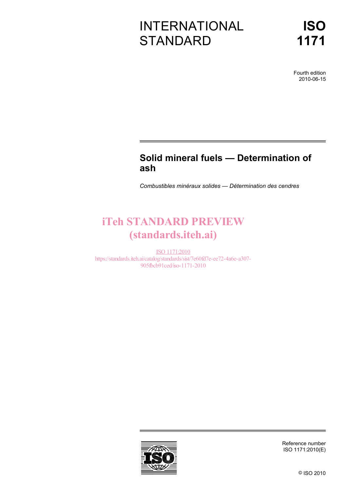# INTERNATIONAL **STANDARD**

Fourth edition 2010-06-15

### **Solid mineral fuels — Determination of ash**

*Combustibles minéraux solides — Détermination des cendres* 

## iTeh STANDARD PREVIEW (standards.iteh.ai)

ISO 1171:2010 https://standards.iteh.ai/catalog/standards/sist/7e60fd7e-ee72-4a6e-a307- 905fbcb91ced/iso-1171-2010



Reference number ISO 1171:2010(E)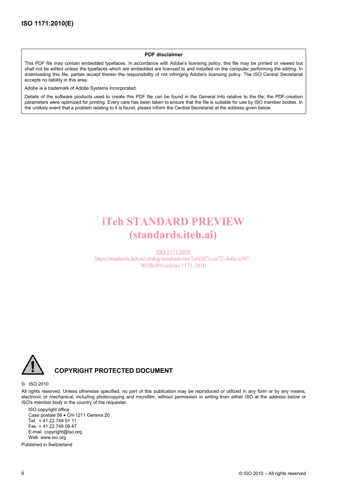#### **PDF disclaimer**

This PDF file may contain embedded typefaces. In accordance with Adobe's licensing policy, this file may be printed or viewed but shall not be edited unless the typefaces which are embedded are licensed to and installed on the computer performing the editing. In downloading this file, parties accept therein the responsibility of not infringing Adobe's licensing policy. The ISO Central Secretariat accepts no liability in this area.

Adobe is a trademark of Adobe Systems Incorporated.

Details of the software products used to create this PDF file can be found in the General Info relative to the file; the PDF-creation parameters were optimized for printing. Every care has been taken to ensure that the file is suitable for use by ISO member bodies. In the unlikely event that a problem relating to it is found, please inform the Central Secretariat at the address given below.

## iTeh STANDARD PREVIEW (standards.iteh.ai)

ISO 1171:2010 https://standards.iteh.ai/catalog/standards/sist/7e60fd7e-ee72-4a6e-a307- 905fbcb91ced/iso-1171-2010



#### **COPYRIGHT PROTECTED DOCUMENT**

#### © ISO 2010

All rights reserved. Unless otherwise specified, no part of this publication may be reproduced or utilized in any form or by any means, electronic or mechanical, including photocopying and microfilm, without permission in writing from either ISO at the address below or ISO's member body in the country of the requester.

ISO copyright office Case postale 56 • CH-1211 Geneva 20 Tel. + 41 22 749 01 11 Fax + 41 22 749 09 47 E-mail copyright@iso.org Web www.iso.org

Published in Switzerland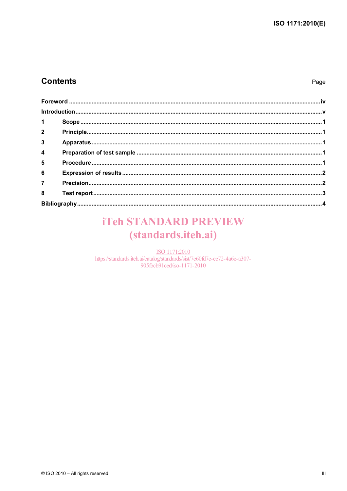### **Contents**

Page

| 1                       |  |  |  |
|-------------------------|--|--|--|
| $\overline{2}$          |  |  |  |
| $\overline{3}$          |  |  |  |
| $\overline{\mathbf{4}}$ |  |  |  |
| 5                       |  |  |  |
| 6                       |  |  |  |
| $\overline{7}$          |  |  |  |
| 8                       |  |  |  |
|                         |  |  |  |

## **iTeh STANDARD PREVIEW** (standards.iteh.ai)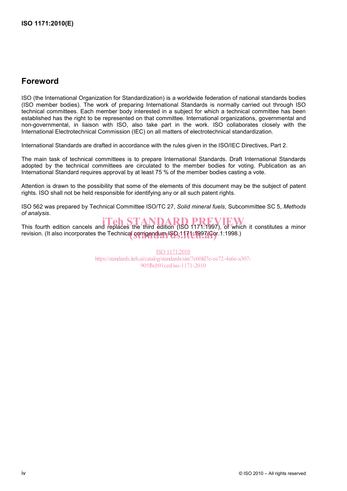### **Foreword**

ISO (the International Organization for Standardization) is a worldwide federation of national standards bodies (ISO member bodies). The work of preparing International Standards is normally carried out through ISO technical committees. Each member body interested in a subject for which a technical committee has been established has the right to be represented on that committee. International organizations, governmental and non-governmental, in liaison with ISO, also take part in the work. ISO collaborates closely with the International Electrotechnical Commission (IEC) on all matters of electrotechnical standardization.

International Standards are drafted in accordance with the rules given in the ISO/IEC Directives, Part 2.

The main task of technical committees is to prepare International Standards. Draft International Standards adopted by the technical committees are circulated to the member bodies for voting. Publication as an International Standard requires approval by at least 75 % of the member bodies casting a vote.

Attention is drawn to the possibility that some of the elements of this document may be the subject of patent rights. ISO shall not be held responsible for identifying any or all such patent rights.

ISO 562 was prepared by Technical Committee ISO/TC 27, *Solid mineral fuels*, Subcommittee SC 5, *Methods of analysis*.

This fourth edition cancels and replaces the third edition (ISO 1171:1997), of which it constitutes a minor revision. (It also incorporates the Technical corrigendum ISO 1171:1997/Gor.1:1998.)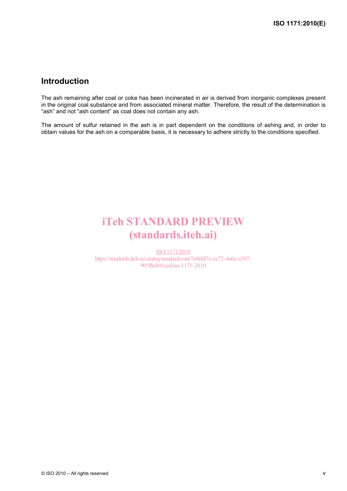### **Introduction**

The ash remaining after coal or coke has been incinerated in air is derived from inorganic complexes present in the original coal substance and from associated mineral matter. Therefore, the result of the determination is "ash" and not "ash content" as coal does not contain any ash.

The amount of sulfur retained in the ash is in part dependent on the conditions of ashing and, in order to obtain values for the ash on a comparable basis, it is necessary to adhere strictly to the conditions specified.

## iTeh STANDARD PREVIEW (standards.iteh.ai)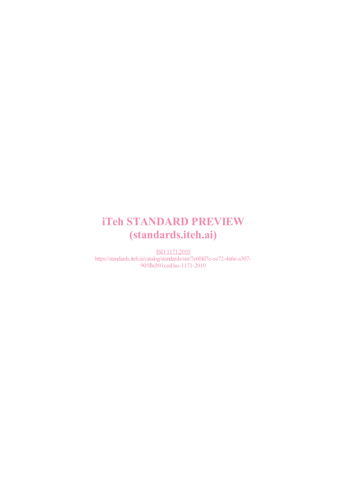## iTeh STANDARD PREVIEW (standards.iteh.ai)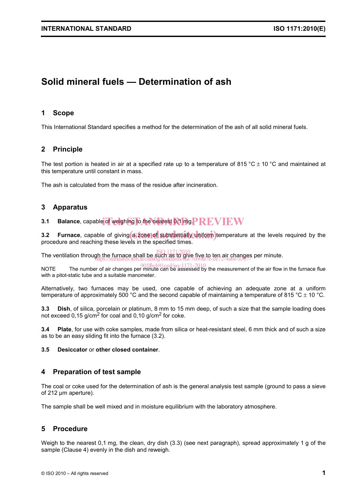### **Solid mineral fuels — Determination of ash**

#### **1 Scope**

This International Standard specifies a method for the determination of the ash of all solid mineral fuels.

#### **2 Principle**

The test portion is heated in air at a specified rate up to a temperature of 815 °C  $\pm$  10 °C and maintained at this temperature until constant in mass.

The ash is calculated from the mass of the residue after incineration.

#### **3 Apparatus**

## **3.1 Balance**, capable of weighing to the nearest 0,1 mg. PREVIEW

**3.2 Furnace**, capable of giving a zone of substantially uniform temperature at the levels required by the procedure and reaching these levels in the specified times.

The ventilation through the furnace shall be such as to give five to ten air changes per minute. https://standards.iteh.ai/catalog/standards/sist/7e60fd7e-ee72-4a6e-a307-

NOTE The number of air changes per minute can be assessed by the measurement of the air flow in the furnace flue with a pitot-static tube and a suitable manometer.

Alternatively, two furnaces may be used, one capable of achieving an adequate zone at a uniform temperature of approximately 500 °C and the second capable of maintaining a temperature of 815 °C  $\pm$  10 °C.

**3.3 Dish**, of silica, porcelain or platinum, 8 mm to 15 mm deep, of such a size that the sample loading does not exceed 0,15 g/cm2 for coal and 0,10 g/cm2 for coke.

**3.4 Plate**, for use with coke samples, made from silica or heat-resistant steel, 6 mm thick and of such a size as to be an easy sliding fit into the furnace (3.2).

**3.5 Desiccator** or **other closed container**.

#### **4 Preparation of test sample**

The coal or coke used for the determination of ash is the general analysis test sample (ground to pass a sieve of 212 µm aperture).

The sample shall be well mixed and in moisture equilibrium with the laboratory atmosphere.

#### **5 Procedure**

Weigh to the nearest 0,1 mg, the clean, dry dish (3.3) (see next paragraph), spread approximately 1 g of the sample (Clause 4) evenly in the dish and reweigh.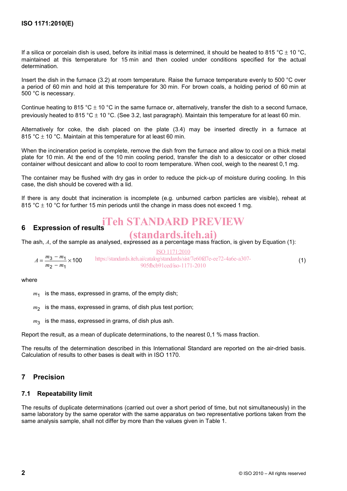If a silica or porcelain dish is used, before its initial mass is determined, it should be heated to 815 °C  $\pm$  10 °C, maintained at this temperature for 15 min and then cooled under conditions specified for the actual determination.

Insert the dish in the furnace (3.2) at room temperature. Raise the furnace temperature evenly to 500 °C over a period of 60 min and hold at this temperature for 30 min. For brown coals, a holding period of 60 min at 500 °C is necessary.

Continue heating to 815 °C  $\pm$  10 °C in the same furnace or, alternatively, transfer the dish to a second furnace, previously heated to 815 °C  $\pm$  10 °C. (See 3.2, last paragraph). Maintain this temperature for at least 60 min.

Alternatively for coke, the dish placed on the plate (3.4) may be inserted directly in a furnace at 815 °C  $\pm$  10 °C. Maintain at this temperature for at least 60 min.

When the incineration period is complete, remove the dish from the furnace and allow to cool on a thick metal plate for 10 min. At the end of the 10 min cooling period, transfer the dish to a desiccator or other closed container without desiccant and allow to cool to room temperature. When cool, weigh to the nearest 0,1 mg.

The container may be flushed with dry gas in order to reduce the pick-up of moisture during cooling. In this case, the dish should be covered with a lid.

If there is any doubt that incineration is incomplete (e.g. unburned carbon particles are visible), reheat at 815 °C  $\pm$  10 °C for further 15 min periods until the change in mass does not exceed 1 mg.

### iTeh STANDARD PREVIEW

#### **6 Expression of results**

(standards.iteh.ai)

The ash, *A*, of the sample as analysed, expressed as a percentage mass fraction, is given by Equation (1):

 $3 - m_1$  $2 - m_1$  $A = \frac{m_3 - m_1}{m_2 - m_1} \times 100$  $=\frac{m_3 - m_1}{m_2 - m_1} \times 100$  https://standards.iteh.ai/catalog/standards/sist/7e60fd7e-ee72-4a6e-a307-<br>905fbcb91ced/iso-1171-2010 ISO 1171:2010 905fbcb91ced/iso-1171-2010

where

- $m_1$  is the mass, expressed in grams, of the empty dish;
- $m<sub>2</sub>$  is the mass, expressed in grams, of dish plus test portion;
- $m<sub>3</sub>$  is the mass, expressed in grams, of dish plus ash.

Report the result, as a mean of duplicate determinations, to the nearest 0,1 % mass fraction.

The results of the determination described in this International Standard are reported on the air-dried basis. Calculation of results to other bases is dealt with in ISO 1170.

#### **7 Precision**

#### **7.1 Repeatability limit**

The results of duplicate determinations (carried out over a short period of time, but not simultaneously) in the same laboratory by the same operator with the same apparatus on two representative portions taken from the same analysis sample, shall not differ by more than the values given in Table 1.